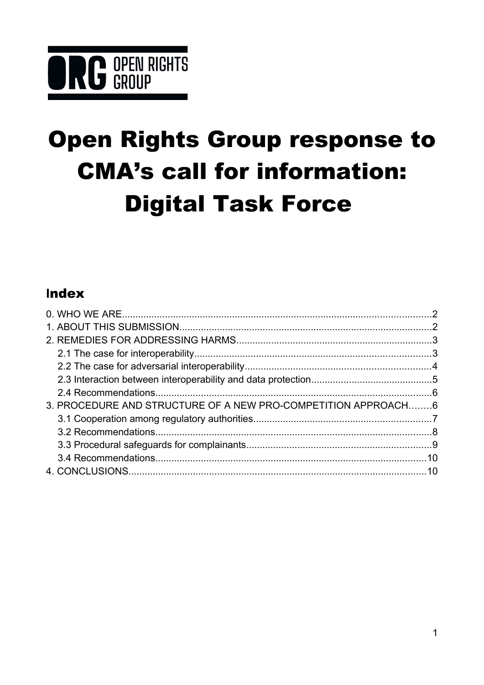# **ORG** OPEN RIGHTS

# **Open Rights Group response to CMA's call for information: Digital Task Force**

## Index

| 3. PROCEDURE AND STRUCTURE OF A NEW PRO-COMPETITION APPROACH6 |  |
|---------------------------------------------------------------|--|
|                                                               |  |
|                                                               |  |
|                                                               |  |
|                                                               |  |
|                                                               |  |
|                                                               |  |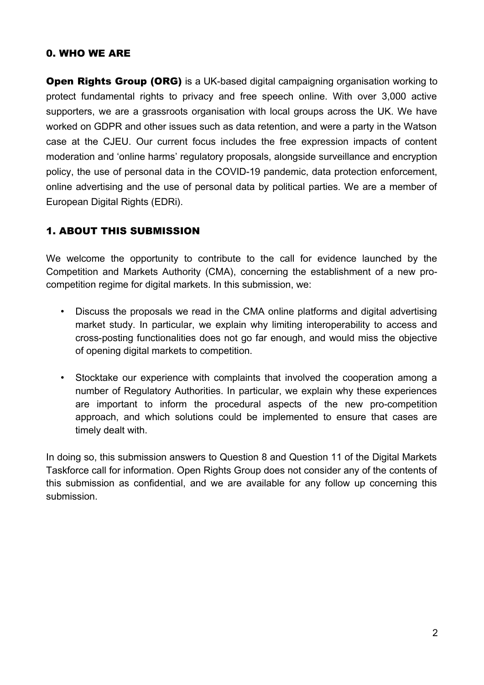#### <span id="page-1-1"></span>0. WHO WE ARE

**Open Rights Group (ORG)** is a UK-based digital campaigning organisation working to protect fundamental rights to privacy and free speech online. With over 3,000 active supporters, we are a grassroots organisation with local groups across the UK. We have worked on GDPR and other issues such as data retention, and were a party in the Watson case at the CJEU. Our current focus includes the free expression impacts of content moderation and 'online harms' regulatory proposals, alongside surveillance and encryption policy, the use of personal data in the COVID-19 pandemic, data protection enforcement, online advertising and the use of personal data by political parties. We are a member of European Digital Rights (EDRi).

#### <span id="page-1-0"></span>1. ABOUT THIS SUBMISSION

We welcome the opportunity to contribute to the call for evidence launched by the Competition and Markets Authority (CMA), concerning the establishment of a new procompetition regime for digital markets. In this submission, we:

- Discuss the proposals we read in the CMA online platforms and digital advertising market study. In particular, we explain why limiting interoperability to access and cross-posting functionalities does not go far enough, and would miss the objective of opening digital markets to competition.
- Stocktake our experience with complaints that involved the cooperation among a number of Regulatory Authorities. In particular, we explain why these experiences are important to inform the procedural aspects of the new pro-competition approach, and which solutions could be implemented to ensure that cases are timely dealt with.

In doing so, this submission answers to Question 8 and Question 11 of the Digital Markets Taskforce call for information. Open Rights Group does not consider any of the contents of this submission as confidential, and we are available for any follow up concerning this submission.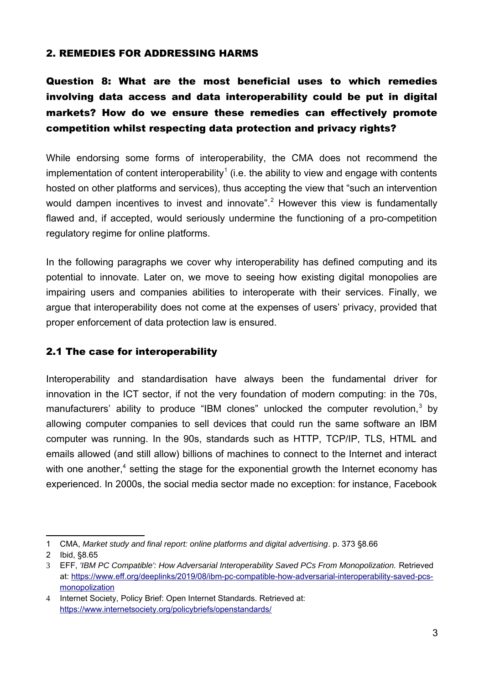#### <span id="page-2-1"></span>2. REMEDIES FOR ADDRESSING HARMS

### Question 8: What are the most beneficial uses to which remedies involving data access and data interoperability could be put in digital markets? How do we ensure these remedies can effectively promote competition whilst respecting data protection and privacy rights?

While endorsing some forms of interoperability, the CMA does not recommend the implementation of content interoperability<sup>[1](#page-2-2)</sup> (i.e. the ability to view and engage with contents hosted on other platforms and services), thus accepting the view that "such an intervention would dampen incentives to invest and innovate".<sup>[2](#page-2-3)</sup> However this view is fundamentally flawed and, if accepted, would seriously undermine the functioning of a pro-competition regulatory regime for online platforms.

In the following paragraphs we cover why interoperability has defined computing and its potential to innovate. Later on, we move to seeing how existing digital monopolies are impairing users and companies abilities to interoperate with their services. Finally, we argue that interoperability does not come at the expenses of users' privacy, provided that proper enforcement of data protection law is ensured.

#### <span id="page-2-0"></span>2.1 The case for interoperability

Interoperability and standardisation have always been the fundamental driver for innovation in the ICT sector, if not the very foundation of modern computing: in the 70s, manufacturers' ability to produce "IBM clones" unlocked the computer revolution,<sup>[3](#page-2-4)</sup> by allowing computer companies to sell devices that could run the same software an IBM computer was running. In the 90s, standards such as HTTP, TCP/IP, TLS, HTML and emails allowed (and still allow) billions of machines to connect to the Internet and interact with one another,<sup>[4](#page-2-5)</sup> setting the stage for the exponential growth the Internet economy has experienced. In 2000s, the social media sector made no exception: for instance, Facebook

<span id="page-2-2"></span><sup>1</sup> CMA, *Market study and final report: online platforms and digital advertising*. p. 373 §8.66

<span id="page-2-3"></span><sup>2</sup> Ibid, §8.65

<span id="page-2-4"></span><sup>3</sup> EFF, *'IBM PC Compatible': How Adversarial Interoperability Saved PCs From Monopolization.* Retrieved at: [https://www.eff.org/deeplinks/2019/08/ibm-pc-compatible-how-adversarial-interoperability-saved-pcs](https://www.eff.org/deeplinks/2019/08/ibm-pc-compatible-how-adversarial-interoperability-saved-pcs-monopolization)[monopolization](https://www.eff.org/deeplinks/2019/08/ibm-pc-compatible-how-adversarial-interoperability-saved-pcs-monopolization)

<span id="page-2-5"></span><sup>4</sup> Internet Society, Policy Brief: Open Internet Standards. Retrieved at: <https://www.internetsociety.org/policybriefs/openstandards/>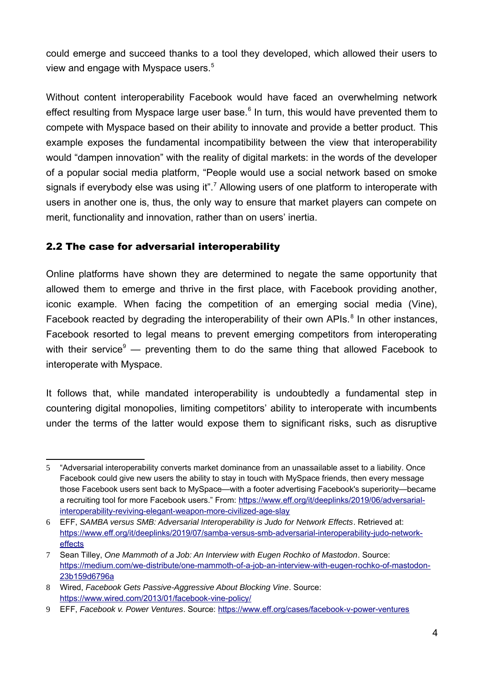could emerge and succeed thanks to a tool they developed, which allowed their users to view and engage with Myspace users.<sup>[5](#page-3-1)</sup>

Without content interoperability Facebook would have faced an overwhelming network effect resulting from Myspace large user base.<sup>[6](#page-3-2)</sup> In turn, this would have prevented them to compete with Myspace based on their ability to innovate and provide a better product. This example exposes the fundamental incompatibility between the view that interoperability would "dampen innovation" with the reality of digital markets: in the words of the developer of a popular social media platform, "People would use a social network based on smoke signals if everybody else was using it".<sup>[7](#page-3-3)</sup> Allowing users of one platform to interoperate with users in another one is, thus, the only way to ensure that market players can compete on merit, functionality and innovation, rather than on users' inertia.

#### <span id="page-3-0"></span>2.2 The case for adversarial interoperability

Online platforms have shown they are determined to negate the same opportunity that allowed them to emerge and thrive in the first place, with Facebook providing another, iconic example. When facing the competition of an emerging social media (Vine), Facebook reacted by degrading the interoperability of their own APIs. $8$  In other instances, Facebook resorted to legal means to prevent emerging competitors from interoperating with their service<sup>[9](#page-3-5)</sup> — preventing them to do the same thing that allowed Facebook to interoperate with Myspace.

It follows that, while mandated interoperability is undoubtedly a fundamental step in countering digital monopolies, limiting competitors' ability to interoperate with incumbents under the terms of the latter would expose them to significant risks, such as disruptive

<span id="page-3-1"></span><sup>5</sup> "Adversarial interoperability converts market dominance from an unassailable asset to a liability. Once Facebook could give new users the ability to stay in touch with MySpace friends, then every message those Facebook users sent back to MySpace—with a footer advertising Facebook's superiority—became a recruiting tool for more Facebook users." From: [https://www.eff.org/it/deeplinks/2019/06/adversarial](https://www.eff.org/it/deeplinks/2019/06/adversarial-interoperability-reviving-elegant-weapon-more-civilized-age-slay)[interoperability-reviving-elegant-weapon-more-civilized-age-slay](https://www.eff.org/it/deeplinks/2019/06/adversarial-interoperability-reviving-elegant-weapon-more-civilized-age-slay)

<span id="page-3-2"></span><sup>6</sup> EFF, *SAMBA versus SMB: Adversarial Interoperability is Judo for Network Effects*. Retrieved at: [https://www.eff.org/it/deeplinks/2019/07/samba-versus-smb-adversarial-interoperability-judo-network](https://www.eff.org/it/deeplinks/2019/07/samba-versus-smb-adversarial-interoperability-judo-network-effects)[effects](https://www.eff.org/it/deeplinks/2019/07/samba-versus-smb-adversarial-interoperability-judo-network-effects)

<span id="page-3-3"></span><sup>7</sup> Sean Tilley, *One Mammoth of a Job: An Interview with Eugen Rochko of Mastodon*. Source: [https://medium.com/we-distribute/one-mammoth-of-a-job-an-interview-with-eugen-rochko-of-mastodon-](https://medium.com/we-distribute/one-mammoth-of-a-job-an-interview-with-eugen-rochko-of-mastodon-23b159d6796a)[23b159d6796a](https://medium.com/we-distribute/one-mammoth-of-a-job-an-interview-with-eugen-rochko-of-mastodon-23b159d6796a)

<span id="page-3-4"></span><sup>8</sup> Wired, *Facebook Gets Passive-Aggressive About Blocking Vine*. Source: <https://www.wired.com/2013/01/facebook-vine-policy/>

<span id="page-3-5"></span><sup>9</sup> EFF, *Facebook v. Power Ventures*. Source:<https://www.eff.org/cases/facebook-v-power-ventures>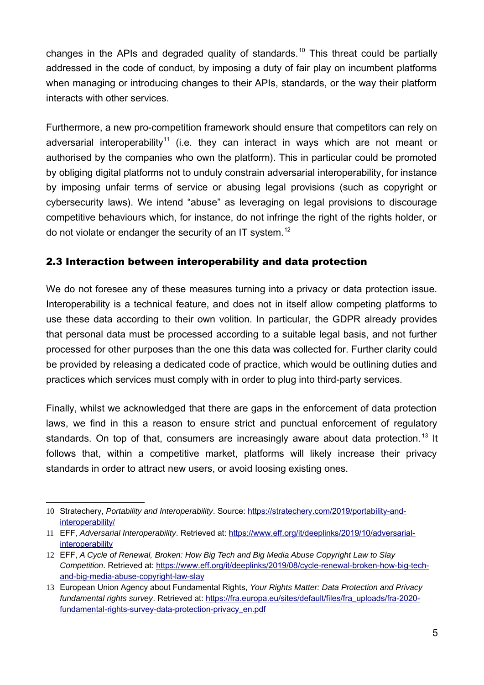changes in the APIs and degraded quality of standards.<sup>[10](#page-4-1)</sup> This threat could be partially addressed in the code of conduct, by imposing a duty of fair play on incumbent platforms when managing or introducing changes to their APIs, standards, or the way their platform interacts with other services.

Furthermore, a new pro-competition framework should ensure that competitors can rely on adversarial interoperability<sup>[11](#page-4-2)</sup> (i.e. they can interact in ways which are not meant or authorised by the companies who own the platform). This in particular could be promoted by obliging digital platforms not to unduly constrain adversarial interoperability, for instance by imposing unfair terms of service or abusing legal provisions (such as copyright or cybersecurity laws). We intend "abuse" as leveraging on legal provisions to discourage competitive behaviours which, for instance, do not infringe the right of the rights holder, or do not violate or endanger the security of an IT system.<sup>[12](#page-4-3)</sup>

#### <span id="page-4-0"></span>2.3 Interaction between interoperability and data protection

We do not foresee any of these measures turning into a privacy or data protection issue. Interoperability is a technical feature, and does not in itself allow competing platforms to use these data according to their own volition. In particular, the GDPR already provides that personal data must be processed according to a suitable legal basis, and not further processed for other purposes than the one this data was collected for. Further clarity could be provided by releasing a dedicated code of practice, which would be outlining duties and practices which services must comply with in order to plug into third-party services.

Finally, whilst we acknowledged that there are gaps in the enforcement of data protection laws, we find in this a reason to ensure strict and punctual enforcement of regulatory standards. On top of that, consumers are increasingly aware about data protection.<sup>[13](#page-4-4)</sup> It follows that, within a competitive market, platforms will likely increase their privacy standards in order to attract new users, or avoid loosing existing ones.

<span id="page-4-1"></span><sup>10</sup> Stratechery, *Portability and Interoperability*. Source: [https://stratechery.com/2019/portability-and](https://stratechery.com/2019/portability-and-interoperability/)[interoperability/](https://stratechery.com/2019/portability-and-interoperability/)

<span id="page-4-2"></span><sup>11</sup> EFF, *Adversarial Interoperability*. Retrieved at: [https://www.eff.org/it/deeplinks/2019/10/adversarial](https://www.eff.org/it/deeplinks/2019/10/adversarial-interoperability)[interoperability](https://www.eff.org/it/deeplinks/2019/10/adversarial-interoperability)

<span id="page-4-3"></span><sup>12</sup> EFF, *A Cycle of Renewal, Broken: How Big Tech and Big Media Abuse Copyright Law to Slay Competition*. Retrieved at: [https://www.eff.org/it/deeplinks/2019/08/cycle-renewal-broken-how-big-tech](https://www.eff.org/it/deeplinks/2019/08/cycle-renewal-broken-how-big-tech-and-big-media-abuse-copyright-law-slay)[and-big-media-abuse-copyright-law-slay](https://www.eff.org/it/deeplinks/2019/08/cycle-renewal-broken-how-big-tech-and-big-media-abuse-copyright-law-slay)

<span id="page-4-4"></span><sup>13</sup> European Union Agency about Fundamental Rights, *Your Rights Matter: Data Protection and Privacy fundamental rights survey*. Retrieved at: [https://fra.europa.eu/sites/default/files/fra\\_uploads/fra-2020](https://fra.europa.eu/sites/default/files/fra_uploads/fra-2020-fundamental-rights-survey-data-protection-privacy_en.pdf) [fundamental-rights-survey-data-protection-privacy\\_en.pdf](https://fra.europa.eu/sites/default/files/fra_uploads/fra-2020-fundamental-rights-survey-data-protection-privacy_en.pdf)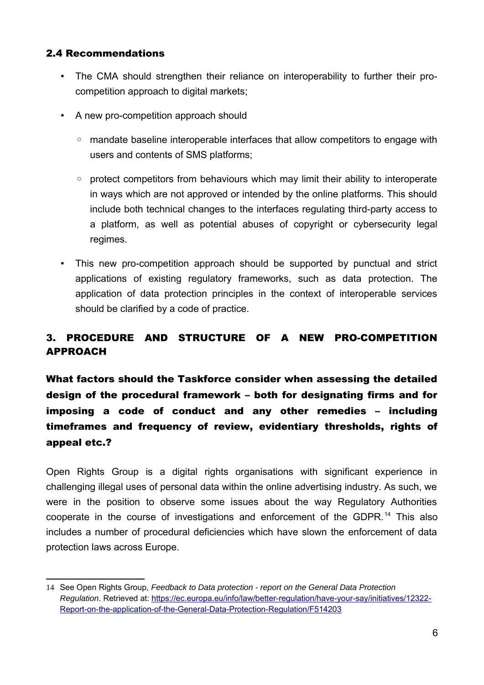#### <span id="page-5-1"></span>2.4 Recommendations

- The CMA should strengthen their reliance on interoperability to further their procompetition approach to digital markets;
- A new pro-competition approach should
	- mandate baseline interoperable interfaces that allow competitors to engage with users and contents of SMS platforms;
	- protect competitors from behaviours which may limit their ability to interoperate in ways which are not approved or intended by the online platforms. This should include both technical changes to the interfaces regulating third-party access to a platform, as well as potential abuses of copyright or cybersecurity legal regimes.
- This new pro-competition approach should be supported by punctual and strict applications of existing regulatory frameworks, such as data protection. The application of data protection principles in the context of interoperable services should be clarified by a code of practice.

#### <span id="page-5-0"></span>3. PROCEDURE AND STRUCTURE OF A NEW PRO-COMPETITION APPROACH

What factors should the Taskforce consider when assessing the detailed design of the procedural framework – both for designating firms and for imposing a code of conduct and any other remedies – including timeframes and frequency of review, evidentiary thresholds, rights of appeal etc.?

Open Rights Group is a digital rights organisations with significant experience in challenging illegal uses of personal data within the online advertising industry. As such, we were in the position to observe some issues about the way Regulatory Authorities cooperate in the course of investigations and enforcement of the GDPR.<sup>[14](#page-5-2)</sup> This also includes a number of procedural deficiencies which have slown the enforcement of data protection laws across Europe.

<span id="page-5-2"></span><sup>14</sup> See Open Rights Group, *Feedback to Data protection - report on the General Data Protection Regulation*. Retrieved at: [https://ec.europa.eu/info/law/better-regulation/have-your-say/initiatives/12322-](https://ec.europa.eu/info/law/better-regulation/have-your-say/initiatives/12322-Report-on-the-application-of-the-General-Data-Protection-Regulation/F514203) [Report-on-the-application-of-the-General-Data-Protection-Regulation/F514203](https://ec.europa.eu/info/law/better-regulation/have-your-say/initiatives/12322-Report-on-the-application-of-the-General-Data-Protection-Regulation/F514203)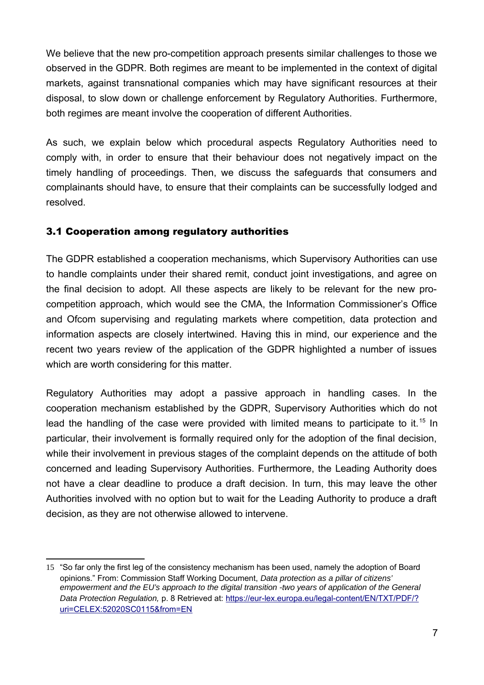We believe that the new pro-competition approach presents similar challenges to those we observed in the GDPR. Both regimes are meant to be implemented in the context of digital markets, against transnational companies which may have significant resources at their disposal, to slow down or challenge enforcement by Regulatory Authorities. Furthermore, both regimes are meant involve the cooperation of different Authorities.

As such, we explain below which procedural aspects Regulatory Authorities need to comply with, in order to ensure that their behaviour does not negatively impact on the timely handling of proceedings. Then, we discuss the safeguards that consumers and complainants should have, to ensure that their complaints can be successfully lodged and resolved.

#### <span id="page-6-0"></span>3.1 Cooperation among regulatory authorities

The GDPR established a cooperation mechanisms, which Supervisory Authorities can use to handle complaints under their shared remit, conduct joint investigations, and agree on the final decision to adopt. All these aspects are likely to be relevant for the new procompetition approach, which would see the CMA, the Information Commissioner's Office and Ofcom supervising and regulating markets where competition, data protection and information aspects are closely intertwined. Having this in mind, our experience and the recent two years review of the application of the GDPR highlighted a number of issues which are worth considering for this matter.

Regulatory Authorities may adopt a passive approach in handling cases. In the cooperation mechanism established by the GDPR, Supervisory Authorities which do not lead the handling of the case were provided with limited means to participate to it.<sup>[15](#page-6-1)</sup> In particular, their involvement is formally required only for the adoption of the final decision, while their involvement in previous stages of the complaint depends on the attitude of both concerned and leading Supervisory Authorities. Furthermore, the Leading Authority does not have a clear deadline to produce a draft decision. In turn, this may leave the other Authorities involved with no option but to wait for the Leading Authority to produce a draft decision, as they are not otherwise allowed to intervene.

<span id="page-6-1"></span><sup>15</sup> "So far only the first leg of the consistency mechanism has been used, namely the adoption of Board opinions." From: Commission Staff Working Document, *Data protection as a pillar of citizens' empowerment and the EU's approach to the digital transition -two years of application of the General Data Protection Regulation,* p. 8 Retrieved at: [https://eur-lex.europa.eu/legal-content/EN/TXT/PDF/?](https://eur-lex.europa.eu/legal-content/EN/TXT/PDF/?uri=CELEX:52020SC0115&from=EN) [uri=CELEX:52020SC0115&from=EN](https://eur-lex.europa.eu/legal-content/EN/TXT/PDF/?uri=CELEX:52020SC0115&from=EN)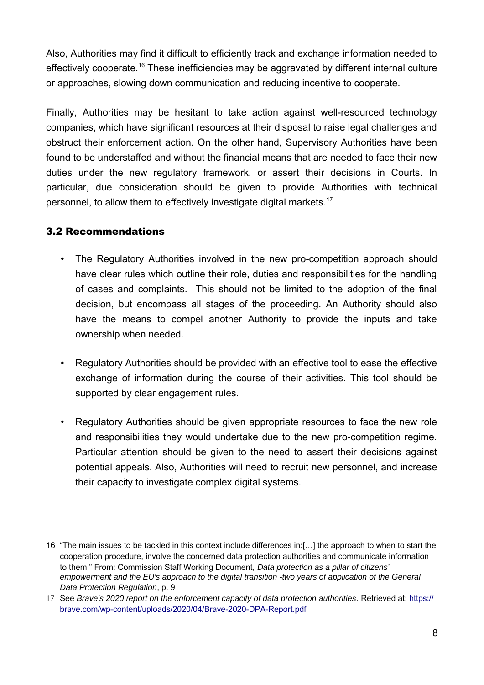Also, Authorities may find it difficult to efficiently track and exchange information needed to effectively cooperate.<sup>[16](#page-7-1)</sup> These inefficiencies may be aggravated by different internal culture or approaches, slowing down communication and reducing incentive to cooperate.

Finally, Authorities may be hesitant to take action against well-resourced technology companies, which have significant resources at their disposal to raise legal challenges and obstruct their enforcement action. On the other hand, Supervisory Authorities have been found to be understaffed and without the financial means that are needed to face their new duties under the new regulatory framework, or assert their decisions in Courts. In particular, due consideration should be given to provide Authorities with technical personnel, to allow them to effectively investigate digital markets.<sup>[17](#page-7-2)</sup>

#### <span id="page-7-0"></span>3.2 Recommendations

- The Regulatory Authorities involved in the new pro-competition approach should have clear rules which outline their role, duties and responsibilities for the handling of cases and complaints. This should not be limited to the adoption of the final decision, but encompass all stages of the proceeding. An Authority should also have the means to compel another Authority to provide the inputs and take ownership when needed.
- Regulatory Authorities should be provided with an effective tool to ease the effective exchange of information during the course of their activities. This tool should be supported by clear engagement rules.
- Regulatory Authorities should be given appropriate resources to face the new role and responsibilities they would undertake due to the new pro-competition regime. Particular attention should be given to the need to assert their decisions against potential appeals. Also, Authorities will need to recruit new personnel, and increase their capacity to investigate complex digital systems.

<span id="page-7-1"></span><sup>16</sup> "The main issues to be tackled in this context include differences in:[…] the approach to when to start the cooperation procedure, involve the concerned data protection authorities and communicate information to them." From: Commission Staff Working Document, *Data protection as a pillar of citizens' empowerment and the EU's approach to the digital transition -two years of application of the General Data Protection Regulation*, p. 9

<span id="page-7-2"></span><sup>17</sup> See *Brave's 2020 report on the enforcement capacity of data protection authorities*. Retrieved at: [https://](https://brave.com/wp-content/uploads/2020/04/Brave-2020-DPA-Report.pdf) [brave.com/wp-content/uploads/2020/04/Brave-2020-DPA-Report.pdf](https://brave.com/wp-content/uploads/2020/04/Brave-2020-DPA-Report.pdf)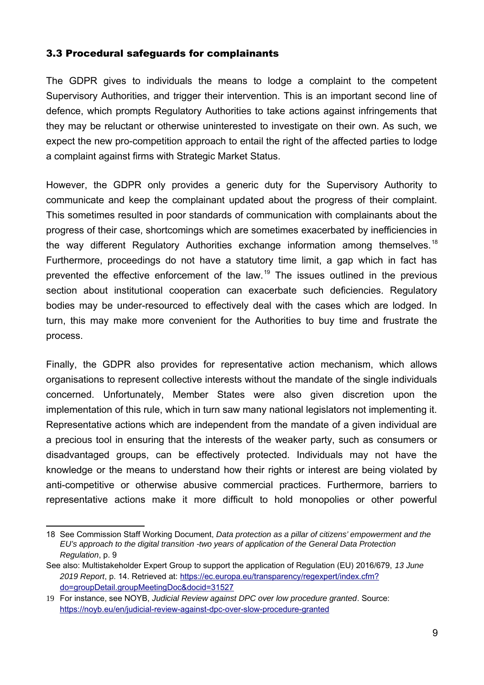#### <span id="page-8-0"></span>3.3 Procedural safeguards for complainants

The GDPR gives to individuals the means to lodge a complaint to the competent Supervisory Authorities, and trigger their intervention. This is an important second line of defence, which prompts Regulatory Authorities to take actions against infringements that they may be reluctant or otherwise uninterested to investigate on their own. As such, we expect the new pro-competition approach to entail the right of the affected parties to lodge a complaint against firms with Strategic Market Status.

However, the GDPR only provides a generic duty for the Supervisory Authority to communicate and keep the complainant updated about the progress of their complaint. This sometimes resulted in poor standards of communication with complainants about the progress of their case, shortcomings which are sometimes exacerbated by inefficiencies in the way different Regulatory Authorities exchange information among themselves.<sup>[18](#page-8-1)</sup> Furthermore, proceedings do not have a statutory time limit, a gap which in fact has prevented the effective enforcement of the law.<sup>[19](#page-8-2)</sup> The issues outlined in the previous section about institutional cooperation can exacerbate such deficiencies. Regulatory bodies may be under-resourced to effectively deal with the cases which are lodged. In turn, this may make more convenient for the Authorities to buy time and frustrate the process.

Finally, the GDPR also provides for representative action mechanism, which allows organisations to represent collective interests without the mandate of the single individuals concerned. Unfortunately, Member States were also given discretion upon the implementation of this rule, which in turn saw many national legislators not implementing it. Representative actions which are independent from the mandate of a given individual are a precious tool in ensuring that the interests of the weaker party, such as consumers or disadvantaged groups, can be effectively protected. Individuals may not have the knowledge or the means to understand how their rights or interest are being violated by anti-competitive or otherwise abusive commercial practices. Furthermore, barriers to representative actions make it more difficult to hold monopolies or other powerful

<span id="page-8-1"></span><sup>18</sup> See Commission Staff Working Document, *Data protection as a pillar of citizens' empowerment and the EU's approach to the digital transition -two years of application of the General Data Protection Regulation*, p. 9

See also: Multistakeholder Expert Group to support the application of Regulation (EU) 2016/679, *13 June 2019 Report*, p. 14. Retrieved at: [https://ec.europa.eu/transparency/regexpert/index.cfm?](https://ec.europa.eu/transparency/regexpert/index.cfm?do=groupDetail.groupMeetingDoc&docid=31527) [do=groupDetail.groupMeetingDoc&docid=31527](https://ec.europa.eu/transparency/regexpert/index.cfm?do=groupDetail.groupMeetingDoc&docid=31527)

<span id="page-8-2"></span><sup>19</sup> For instance, see NOYB, *Judicial Review against DPC over low procedure granted*. Source: <https://noyb.eu/en/judicial-review-against-dpc-over-slow-procedure-granted>